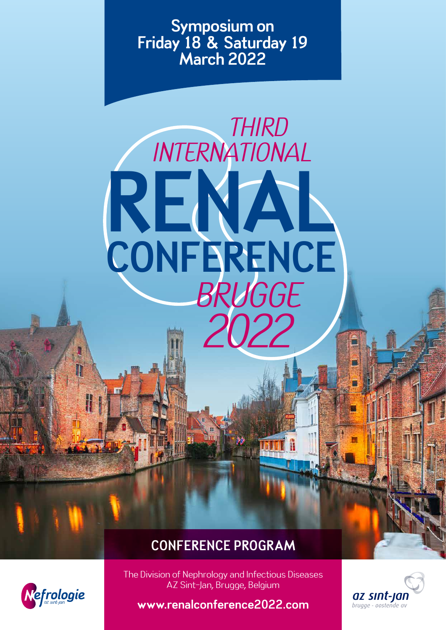Symposium on Friday 18 & Saturday 19 March 2022

# *THIRD INTERNATIONAL* RENAL **CONFERENCE** *BRUGGE 2022*

# CONFERENCE PROGRAM



The Division of Nephrology and Infectious Diseases AZ Sint-Jan, Brugge, Belgium

az sınt-jan brugge - oostende av

www.renalconference2022.com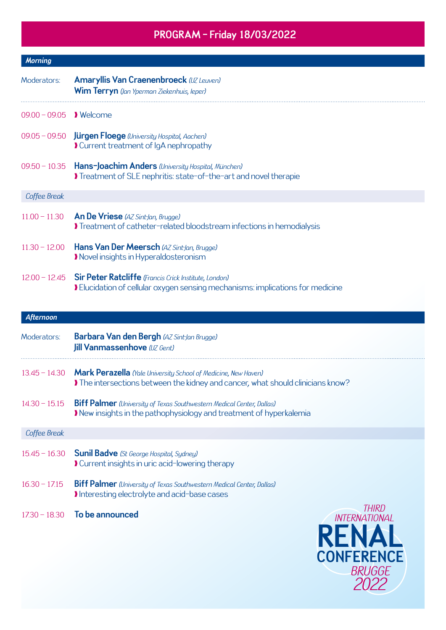## PROGRAM - Friday 18/03/2022

| <b>Morning</b>           |                                                                                                                                                       |  |  |
|--------------------------|-------------------------------------------------------------------------------------------------------------------------------------------------------|--|--|
| Moderators:              | <b>Amaryllis Van Craenenbroeck (UZ Leuven)</b><br><b>Wim Terryn</b> (Jan Yperman Ziekenhuis, leper)                                                   |  |  |
| 09.00 - 09.05    Nelcome |                                                                                                                                                       |  |  |
|                          | 09.05 - 09.50 <b>Jürgen Floege</b> (University Hospital, Aachen)<br>Current treatment of IqA nephropathy                                              |  |  |
| $09.50 - 10.35$          | <b>Hans-Joachim Anders</b> (University Hospital, München)<br>Treatment of SLE nephritis: state-of-the-art and novel therapie                          |  |  |
| Coffee Break             |                                                                                                                                                       |  |  |
| $11.00 - 11.30$          | <b>An De Vriese</b> (AZ Sint-Jan, Brugge)<br>Treatment of catheter-related bloodstream infections in hemodialysis                                     |  |  |
| $11.30 - 12.00$          | Hans Van Der Meersch (AZ Sint-Jan, Brugge)<br>Movel insights in Hyperaldosteronism                                                                    |  |  |
|                          | 12.00 - 12.45 Sir Peter Ratcliffe (Francis Crick Institute, London)<br>I Elucidation of cellular oxygen sensing mechanisms: implications for medicine |  |  |

#### *Afternoon*

| Moderators:     | <b>Barbara Van den Bergh (AZ Sint-Jan Brugge)</b><br><b>Jill Vanmassenhove</b> (UZ Gent)                                                                         |                         |
|-----------------|------------------------------------------------------------------------------------------------------------------------------------------------------------------|-------------------------|
|                 | 13.45 - 14.30 Mark Perazella (Yale University School of Medicine, New Haven)<br>If the intersections between the kidney and cancer, what should clinicians know? |                         |
| $14.30 - 15.15$ | <b>Biff Palmer</b> (University of Texas Southwestern Medical Center, Dallas)<br>I New insights in the pathophysiology and treatment of hyperkalemia              |                         |
| Coffee Break    |                                                                                                                                                                  |                         |
|                 | $15.45 - 16.30$ Sunil Badve (St George Hospital, Sydney)<br>Current insights in uric acid-lowering therapy                                                       |                         |
| $16.30 - 17.15$ | <b>Biff Palmer</b> (University of Texas Southwestern Medical Center, Dallas)<br>Interesting electrolyte and acid-base cases                                      |                         |
| $17.30 - 18.30$ | To be announced                                                                                                                                                  | 1HIRI)<br>INTERNATIONAI |

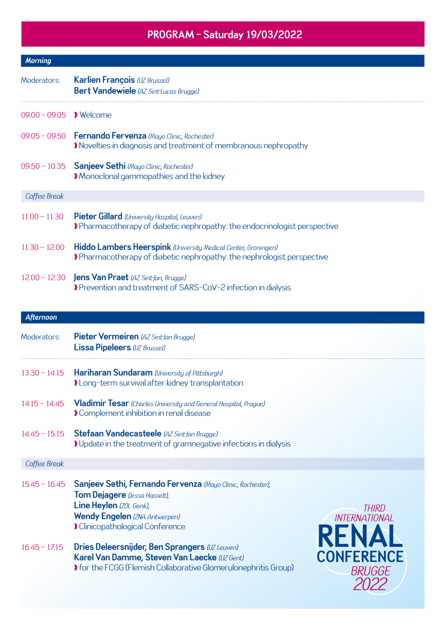## PROGRAM - Saturday 19/03/2022

| <b>Morning</b>           |                                                                                                                                                                                          |
|--------------------------|------------------------------------------------------------------------------------------------------------------------------------------------------------------------------------------|
| Moderators:              | <b>Karlien François</b> (UZ Brussel)<br><b>Bert Vandewiele</b> (AZ Sint-Lucas Brugge)                                                                                                    |
| 09.00 - 09.05    Nelcome |                                                                                                                                                                                          |
|                          | 09.05 - 09.50 Fernando Fervenza (Mayo Clinic, Rochester)<br>Novelties in diagnosis and treatment of membranous nephropathy                                                               |
| $09.50 - 10.35$          | Sanjeev Sethi (Mayo Clinic, Rochester)<br>Monoclonal gammopathies and the kidney                                                                                                         |
| Coffee Break             |                                                                                                                                                                                          |
| $11.00 - 11.30$          | Pieter Gillard (University Hospital, Leuven)<br>Pharmacotherapy of diabetic nephropathy: the endocrinologist perspective                                                                 |
| $11.30 - 12.00$          | <b>Hiddo Lambers Heerspink</b> (University Medical Center, Groningen)<br>Pharmacotherapy of diabetic nephropathy: the nephrologist perspective                                           |
| $12.00 - 12.30$          | <b>Jens Van Praet</b> (AZ Sint-Jan, Brugge)<br>Prevention and treatment of SARS-CoV-2 infection in dialysis                                                                              |
| <b>Afternoon</b>         |                                                                                                                                                                                          |
| Moderators:              | Pieter Vermeiren (AZ Sint-Jan Brugge)<br><b>Lissa Pipeleers (UZ Brussel)</b>                                                                                                             |
| $13.30 - 14.15$          | <b>Hariharan Sundaram</b> (University of Pittsburgh)<br>I Long-term survival after kidney transplantation                                                                                |
| $14.15 - 14.45$          | Vladimir Tesar (Charles University and General Hospital, Prague)<br>Complement inhibition in renal disease                                                                               |
| $14.45 - 15.15$          | Stefaan Vandecasteele (AZ Sint-Jan Brugge)<br>I Update in the treatment of gramnegative infections in dialysis                                                                           |
| Coffee Break             |                                                                                                                                                                                          |
| $15.45 - 16.45$          | Sanjeev Sethi, Fernando Fervenza (Mayo Clinic, Rochester),<br>Tom Dejagere (Jessa Hasselt),<br>Line Heylen (ZOL Genk),<br>THIRD<br><b>Wendy Engelen (ZNA Antwerpen)</b><br>INTERNATIONAL |

- ❱ Clinicopathological Conference
- 16.45 17.15 Dries Deleersnijder, Ben Sprangers *(UZ Leuven)* Karel Van Damme, Steven Van Laecke *(UZ Gent)* ❱ for the FCGG (Flemish Collaborative Glomerulonephritis Group)